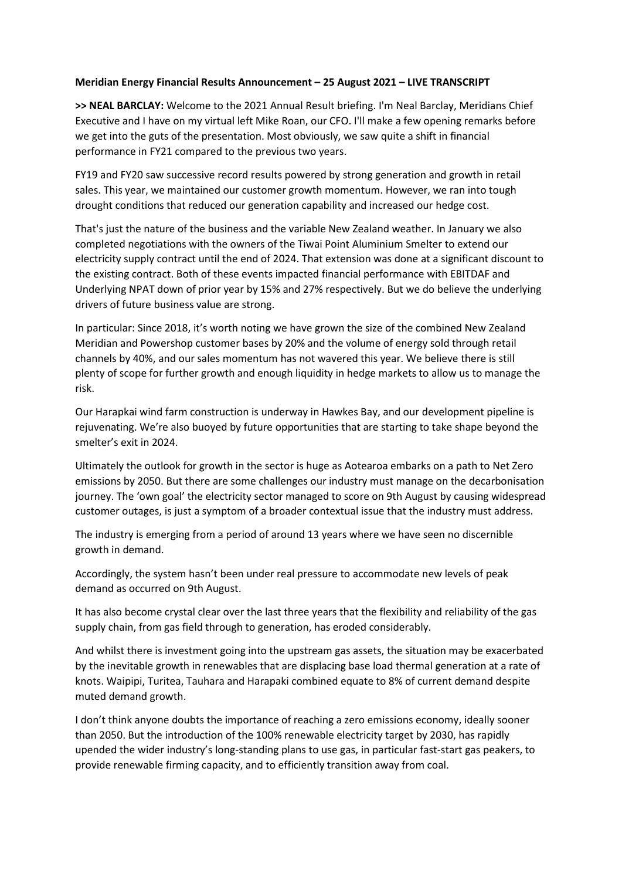## **Meridian Energy Financial Results Announcement – 25 August 2021 – LIVE TRANSCRIPT**

**>> NEAL BARCLAY:** Welcome to the 2021 Annual Result briefing. I'm Neal Barclay, Meridians Chief Executive and I have on my virtual left Mike Roan, our CFO. I'll make a few opening remarks before we get into the guts of the presentation. Most obviously, we saw quite a shift in financial performance in FY21 compared to the previous two years.

FY19 and FY20 saw successive record results powered by strong generation and growth in retail sales. This year, we maintained our customer growth momentum. However, we ran into tough drought conditions that reduced our generation capability and increased our hedge cost.

That's just the nature of the business and the variable New Zealand weather. In January we also completed negotiations with the owners of the Tiwai Point Aluminium Smelter to extend our electricity supply contract until the end of 2024. That extension was done at a significant discount to the existing contract. Both of these events impacted financial performance with EBITDAF and Underlying NPAT down of prior year by 15% and 27% respectively. But we do believe the underlying drivers of future business value are strong.

In particular: Since 2018, it's worth noting we have grown the size of the combined New Zealand Meridian and Powershop customer bases by 20% and the volume of energy sold through retail channels by 40%, and our sales momentum has not wavered this year. We believe there is still plenty of scope for further growth and enough liquidity in hedge markets to allow us to manage the risk.

Our Harapkai wind farm construction is underway in Hawkes Bay, and our development pipeline is rejuvenating. We're also buoyed by future opportunities that are starting to take shape beyond the smelter's exit in 2024.

Ultimately the outlook for growth in the sector is huge as Aotearoa embarks on a path to Net Zero emissions by 2050. But there are some challenges our industry must manage on the decarbonisation journey. The 'own goal' the electricity sector managed to score on 9th August by causing widespread customer outages, is just a symptom of a broader contextual issue that the industry must address.

The industry is emerging from a period of around 13 years where we have seen no discernible growth in demand.

Accordingly, the system hasn't been under real pressure to accommodate new levels of peak demand as occurred on 9th August.

It has also become crystal clear over the last three years that the flexibility and reliability of the gas supply chain, from gas field through to generation, has eroded considerably.

And whilst there is investment going into the upstream gas assets, the situation may be exacerbated by the inevitable growth in renewables that are displacing base load thermal generation at a rate of knots. Waipipi, Turitea, Tauhara and Harapaki combined equate to 8% of current demand despite muted demand growth.

I don't think anyone doubts the importance of reaching a zero emissions economy, ideally sooner than 2050. But the introduction of the 100% renewable electricity target by 2030, has rapidly upended the wider industry's long-standing plans to use gas, in particular fast-start gas peakers, to provide renewable firming capacity, and to efficiently transition away from coal.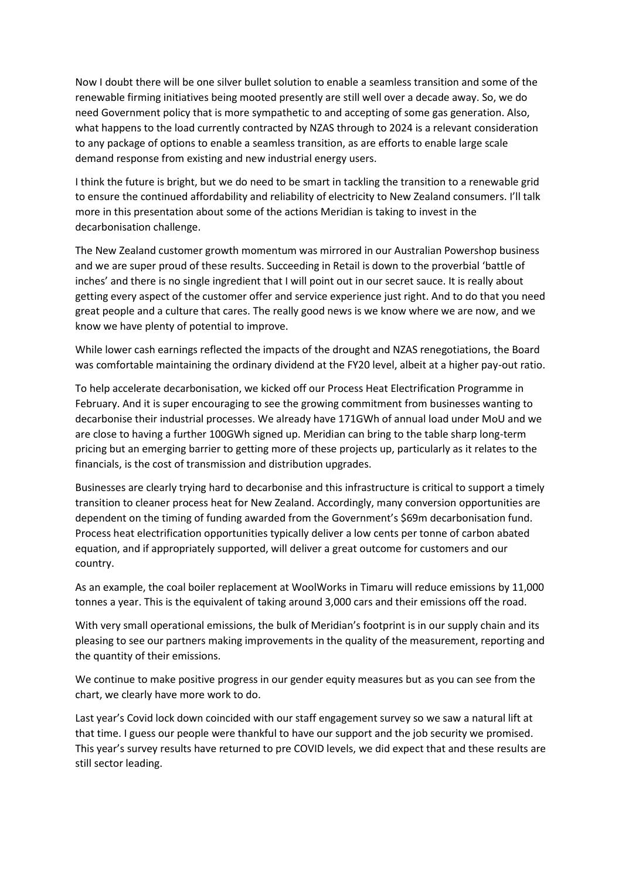Now I doubt there will be one silver bullet solution to enable a seamless transition and some of the renewable firming initiatives being mooted presently are still well over a decade away. So, we do need Government policy that is more sympathetic to and accepting of some gas generation. Also, what happens to the load currently contracted by NZAS through to 2024 is a relevant consideration to any package of options to enable a seamless transition, as are efforts to enable large scale demand response from existing and new industrial energy users.

I think the future is bright, but we do need to be smart in tackling the transition to a renewable grid to ensure the continued affordability and reliability of electricity to New Zealand consumers. I'll talk more in this presentation about some of the actions Meridian is taking to invest in the decarbonisation challenge.

The New Zealand customer growth momentum was mirrored in our Australian Powershop business and we are super proud of these results. Succeeding in Retail is down to the proverbial 'battle of inches' and there is no single ingredient that I will point out in our secret sauce. It is really about getting every aspect of the customer offer and service experience just right. And to do that you need great people and a culture that cares. The really good news is we know where we are now, and we know we have plenty of potential to improve.

While lower cash earnings reflected the impacts of the drought and NZAS renegotiations, the Board was comfortable maintaining the ordinary dividend at the FY20 level, albeit at a higher pay-out ratio.

To help accelerate decarbonisation, we kicked off our Process Heat Electrification Programme in February. And it is super encouraging to see the growing commitment from businesses wanting to decarbonise their industrial processes. We already have 171GWh of annual load under MoU and we are close to having a further 100GWh signed up. Meridian can bring to the table sharp long-term pricing but an emerging barrier to getting more of these projects up, particularly as it relates to the financials, is the cost of transmission and distribution upgrades.

Businesses are clearly trying hard to decarbonise and this infrastructure is critical to support a timely transition to cleaner process heat for New Zealand. Accordingly, many conversion opportunities are dependent on the timing of funding awarded from the Government's \$69m decarbonisation fund. Process heat electrification opportunities typically deliver a low cents per tonne of carbon abated equation, and if appropriately supported, will deliver a great outcome for customers and our country.

As an example, the coal boiler replacement at WoolWorks in Timaru will reduce emissions by 11,000 tonnes a year. This is the equivalent of taking around 3,000 cars and their emissions off the road.

With very small operational emissions, the bulk of Meridian's footprint is in our supply chain and its pleasing to see our partners making improvements in the quality of the measurement, reporting and the quantity of their emissions.

We continue to make positive progress in our gender equity measures but as you can see from the chart, we clearly have more work to do.

Last year's Covid lock down coincided with our staff engagement survey so we saw a natural lift at that time. I guess our people were thankful to have our support and the job security we promised. This year's survey results have returned to pre COVID levels, we did expect that and these results are still sector leading.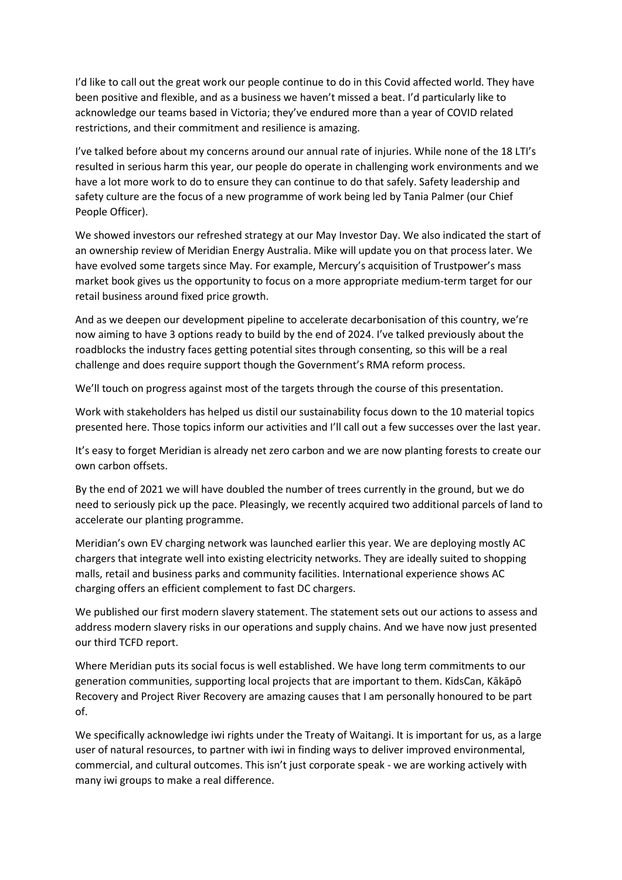I'd like to call out the great work our people continue to do in this Covid affected world. They have been positive and flexible, and as a business we haven't missed a beat. I'd particularly like to acknowledge our teams based in Victoria; they've endured more than a year of COVID related restrictions, and their commitment and resilience is amazing.

I've talked before about my concerns around our annual rate of injuries. While none of the 18 LTI's resulted in serious harm this year, our people do operate in challenging work environments and we have a lot more work to do to ensure they can continue to do that safely. Safety leadership and safety culture are the focus of a new programme of work being led by Tania Palmer (our Chief People Officer).

We showed investors our refreshed strategy at our May Investor Day. We also indicated the start of an ownership review of Meridian Energy Australia. Mike will update you on that process later. We have evolved some targets since May. For example, Mercury's acquisition of Trustpower's mass market book gives us the opportunity to focus on a more appropriate medium-term target for our retail business around fixed price growth.

And as we deepen our development pipeline to accelerate decarbonisation of this country, we're now aiming to have 3 options ready to build by the end of 2024. I've talked previously about the roadblocks the industry faces getting potential sites through consenting, so this will be a real challenge and does require support though the Government's RMA reform process.

We'll touch on progress against most of the targets through the course of this presentation.

Work with stakeholders has helped us distil our sustainability focus down to the 10 material topics presented here. Those topics inform our activities and I'll call out a few successes over the last year.

It's easy to forget Meridian is already net zero carbon and we are now planting forests to create our own carbon offsets.

By the end of 2021 we will have doubled the number of trees currently in the ground, but we do need to seriously pick up the pace. Pleasingly, we recently acquired two additional parcels of land to accelerate our planting programme.

Meridian's own EV charging network was launched earlier this year. We are deploying mostly AC chargers that integrate well into existing electricity networks. They are ideally suited to shopping malls, retail and business parks and community facilities. International experience shows AC charging offers an efficient complement to fast DC chargers.

We published our first modern slavery statement. The statement sets out our actions to assess and address modern slavery risks in our operations and supply chains. And we have now just presented our third TCFD report.

Where Meridian puts its social focus is well established. We have long term commitments to our generation communities, supporting local projects that are important to them. KidsCan, Kākāpō Recovery and Project River Recovery are amazing causes that I am personally honoured to be part of.

We specifically acknowledge iwi rights under the Treaty of Waitangi. It is important for us, as a large user of natural resources, to partner with iwi in finding ways to deliver improved environmental, commercial, and cultural outcomes. This isn't just corporate speak - we are working actively with many iwi groups to make a real difference.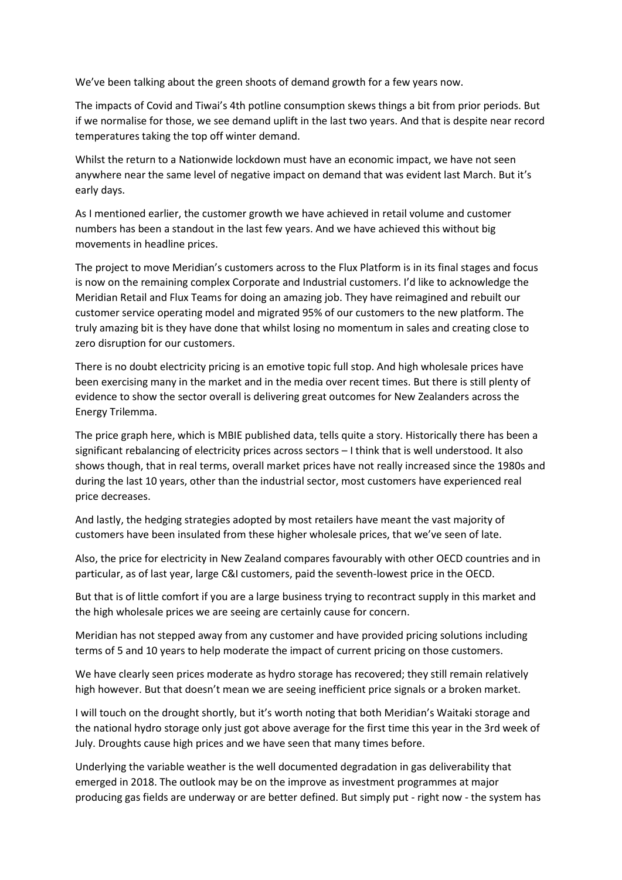We've been talking about the green shoots of demand growth for a few years now.

The impacts of Covid and Tiwai's 4th potline consumption skews things a bit from prior periods. But if we normalise for those, we see demand uplift in the last two years. And that is despite near record temperatures taking the top off winter demand.

Whilst the return to a Nationwide lockdown must have an economic impact, we have not seen anywhere near the same level of negative impact on demand that was evident last March. But it's early days.

As I mentioned earlier, the customer growth we have achieved in retail volume and customer numbers has been a standout in the last few years. And we have achieved this without big movements in headline prices.

The project to move Meridian's customers across to the Flux Platform is in its final stages and focus is now on the remaining complex Corporate and Industrial customers. I'd like to acknowledge the Meridian Retail and Flux Teams for doing an amazing job. They have reimagined and rebuilt our customer service operating model and migrated 95% of our customers to the new platform. The truly amazing bit is they have done that whilst losing no momentum in sales and creating close to zero disruption for our customers.

There is no doubt electricity pricing is an emotive topic full stop. And high wholesale prices have been exercising many in the market and in the media over recent times. But there is still plenty of evidence to show the sector overall is delivering great outcomes for New Zealanders across the Energy Trilemma.

The price graph here, which is MBIE published data, tells quite a story. Historically there has been a significant rebalancing of electricity prices across sectors – I think that is well understood. It also shows though, that in real terms, overall market prices have not really increased since the 1980s and during the last 10 years, other than the industrial sector, most customers have experienced real price decreases.

And lastly, the hedging strategies adopted by most retailers have meant the vast majority of customers have been insulated from these higher wholesale prices, that we've seen of late.

Also, the price for electricity in New Zealand compares favourably with other OECD countries and in particular, as of last year, large C&I customers, paid the seventh-lowest price in the OECD.

But that is of little comfort if you are a large business trying to recontract supply in this market and the high wholesale prices we are seeing are certainly cause for concern.

Meridian has not stepped away from any customer and have provided pricing solutions including terms of 5 and 10 years to help moderate the impact of current pricing on those customers.

We have clearly seen prices moderate as hydro storage has recovered; they still remain relatively high however. But that doesn't mean we are seeing inefficient price signals or a broken market.

I will touch on the drought shortly, but it's worth noting that both Meridian's Waitaki storage and the national hydro storage only just got above average for the first time this year in the 3rd week of July. Droughts cause high prices and we have seen that many times before.

Underlying the variable weather is the well documented degradation in gas deliverability that emerged in 2018. The outlook may be on the improve as investment programmes at major producing gas fields are underway or are better defined. But simply put - right now - the system has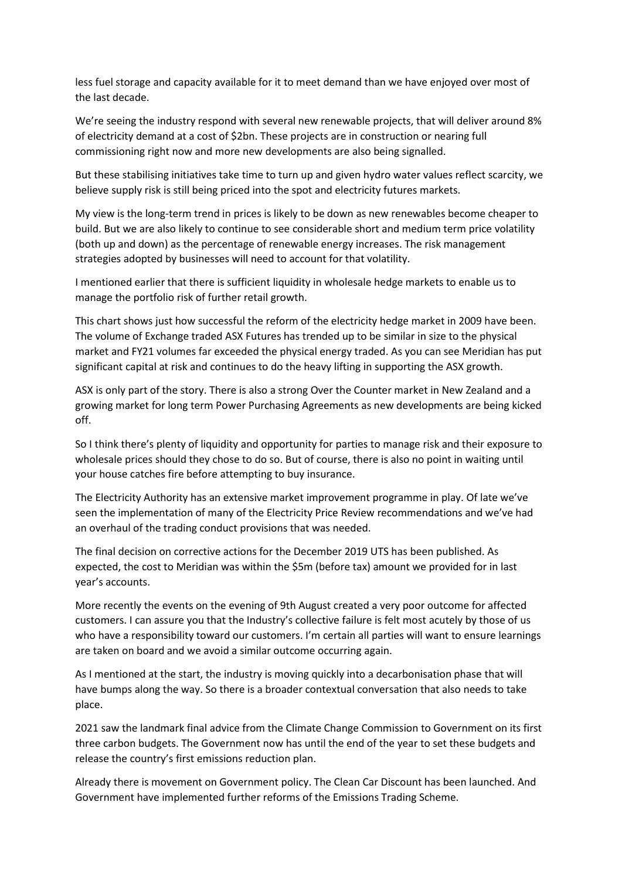less fuel storage and capacity available for it to meet demand than we have enjoyed over most of the last decade.

We're seeing the industry respond with several new renewable projects, that will deliver around 8% of electricity demand at a cost of \$2bn. These projects are in construction or nearing full commissioning right now and more new developments are also being signalled.

But these stabilising initiatives take time to turn up and given hydro water values reflect scarcity, we believe supply risk is still being priced into the spot and electricity futures markets.

My view is the long-term trend in prices is likely to be down as new renewables become cheaper to build. But we are also likely to continue to see considerable short and medium term price volatility (both up and down) as the percentage of renewable energy increases. The risk management strategies adopted by businesses will need to account for that volatility.

I mentioned earlier that there is sufficient liquidity in wholesale hedge markets to enable us to manage the portfolio risk of further retail growth.

This chart shows just how successful the reform of the electricity hedge market in 2009 have been. The volume of Exchange traded ASX Futures has trended up to be similar in size to the physical market and FY21 volumes far exceeded the physical energy traded. As you can see Meridian has put significant capital at risk and continues to do the heavy lifting in supporting the ASX growth.

ASX is only part of the story. There is also a strong Over the Counter market in New Zealand and a growing market for long term Power Purchasing Agreements as new developments are being kicked off.

So I think there's plenty of liquidity and opportunity for parties to manage risk and their exposure to wholesale prices should they chose to do so. But of course, there is also no point in waiting until your house catches fire before attempting to buy insurance.

The Electricity Authority has an extensive market improvement programme in play. Of late we've seen the implementation of many of the Electricity Price Review recommendations and we've had an overhaul of the trading conduct provisions that was needed.

The final decision on corrective actions for the December 2019 UTS has been published. As expected, the cost to Meridian was within the \$5m (before tax) amount we provided for in last year's accounts.

More recently the events on the evening of 9th August created a very poor outcome for affected customers. I can assure you that the Industry's collective failure is felt most acutely by those of us who have a responsibility toward our customers. I'm certain all parties will want to ensure learnings are taken on board and we avoid a similar outcome occurring again.

As I mentioned at the start, the industry is moving quickly into a decarbonisation phase that will have bumps along the way. So there is a broader contextual conversation that also needs to take place.

2021 saw the landmark final advice from the Climate Change Commission to Government on its first three carbon budgets. The Government now has until the end of the year to set these budgets and release the country's first emissions reduction plan.

Already there is movement on Government policy. The Clean Car Discount has been launched. And Government have implemented further reforms of the Emissions Trading Scheme.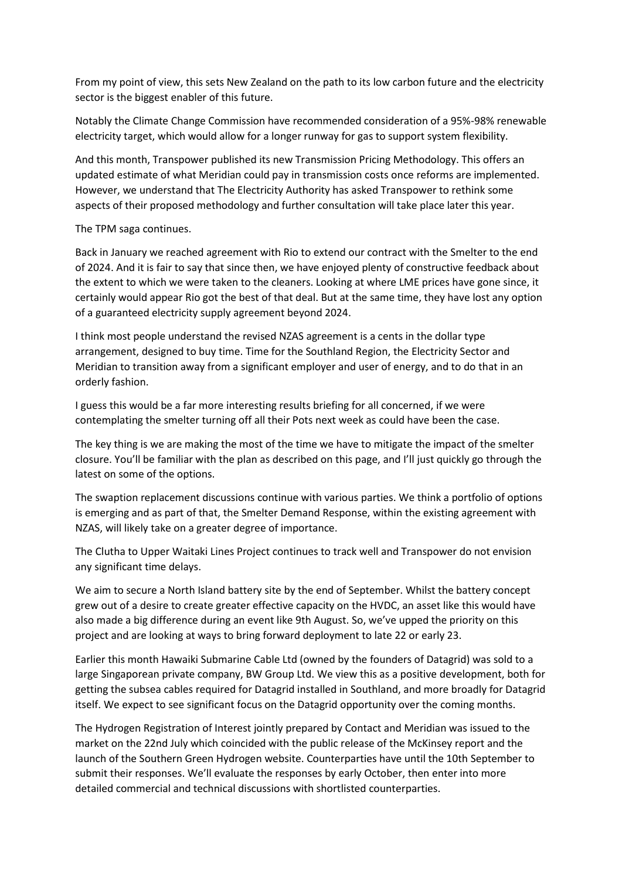From my point of view, this sets New Zealand on the path to its low carbon future and the electricity sector is the biggest enabler of this future.

Notably the Climate Change Commission have recommended consideration of a 95%-98% renewable electricity target, which would allow for a longer runway for gas to support system flexibility.

And this month, Transpower published its new Transmission Pricing Methodology. This offers an updated estimate of what Meridian could pay in transmission costs once reforms are implemented. However, we understand that The Electricity Authority has asked Transpower to rethink some aspects of their proposed methodology and further consultation will take place later this year.

The TPM saga continues.

Back in January we reached agreement with Rio to extend our contract with the Smelter to the end of 2024. And it is fair to say that since then, we have enjoyed plenty of constructive feedback about the extent to which we were taken to the cleaners. Looking at where LME prices have gone since, it certainly would appear Rio got the best of that deal. But at the same time, they have lost any option of a guaranteed electricity supply agreement beyond 2024.

I think most people understand the revised NZAS agreement is a cents in the dollar type arrangement, designed to buy time. Time for the Southland Region, the Electricity Sector and Meridian to transition away from a significant employer and user of energy, and to do that in an orderly fashion.

I guess this would be a far more interesting results briefing for all concerned, if we were contemplating the smelter turning off all their Pots next week as could have been the case.

The key thing is we are making the most of the time we have to mitigate the impact of the smelter closure. You'll be familiar with the plan as described on this page, and I'll just quickly go through the latest on some of the options.

The swaption replacement discussions continue with various parties. We think a portfolio of options is emerging and as part of that, the Smelter Demand Response, within the existing agreement with NZAS, will likely take on a greater degree of importance.

The Clutha to Upper Waitaki Lines Project continues to track well and Transpower do not envision any significant time delays.

We aim to secure a North Island battery site by the end of September. Whilst the battery concept grew out of a desire to create greater effective capacity on the HVDC, an asset like this would have also made a big difference during an event like 9th August. So, we've upped the priority on this project and are looking at ways to bring forward deployment to late 22 or early 23.

Earlier this month Hawaiki Submarine Cable Ltd (owned by the founders of Datagrid) was sold to a large Singaporean private company, BW Group Ltd. We view this as a positive development, both for getting the subsea cables required for Datagrid installed in Southland, and more broadly for Datagrid itself. We expect to see significant focus on the Datagrid opportunity over the coming months.

The Hydrogen Registration of Interest jointly prepared by Contact and Meridian was issued to the market on the 22nd July which coincided with the public release of the McKinsey report and the launch of the Southern Green Hydrogen website. Counterparties have until the 10th September to submit their responses. We'll evaluate the responses by early October, then enter into more detailed commercial and technical discussions with shortlisted counterparties.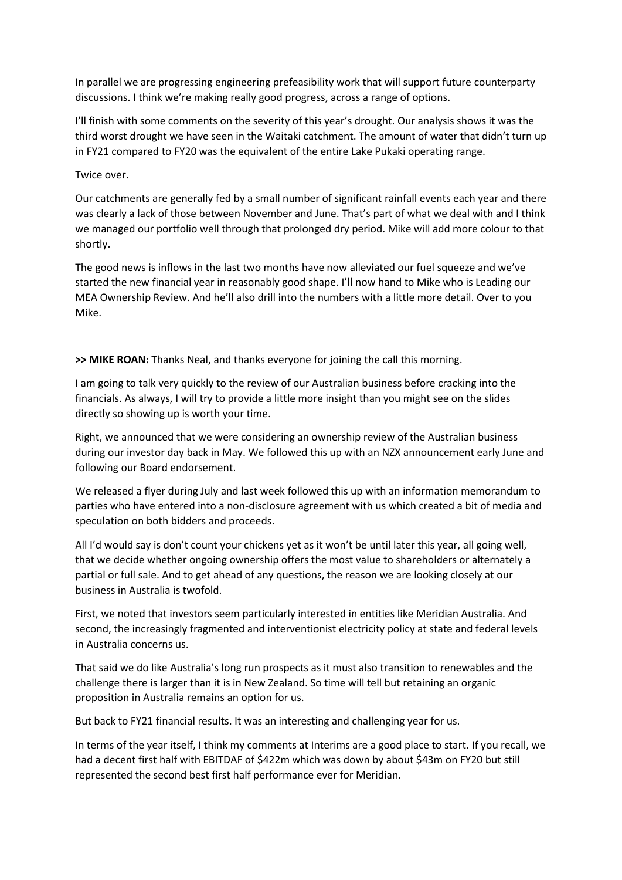In parallel we are progressing engineering prefeasibility work that will support future counterparty discussions. I think we're making really good progress, across a range of options.

I'll finish with some comments on the severity of this year's drought. Our analysis shows it was the third worst drought we have seen in the Waitaki catchment. The amount of water that didn't turn up in FY21 compared to FY20 was the equivalent of the entire Lake Pukaki operating range.

## Twice over.

Our catchments are generally fed by a small number of significant rainfall events each year and there was clearly a lack of those between November and June. That's part of what we deal with and I think we managed our portfolio well through that prolonged dry period. Mike will add more colour to that shortly.

The good news is inflows in the last two months have now alleviated our fuel squeeze and we've started the new financial year in reasonably good shape. I'll now hand to Mike who is Leading our MEA Ownership Review. And he'll also drill into the numbers with a little more detail. Over to you Mike.

**>> MIKE ROAN:** Thanks Neal, and thanks everyone for joining the call this morning.

I am going to talk very quickly to the review of our Australian business before cracking into the financials. As always, I will try to provide a little more insight than you might see on the slides directly so showing up is worth your time.

Right, we announced that we were considering an ownership review of the Australian business during our investor day back in May. We followed this up with an NZX announcement early June and following our Board endorsement.

We released a flyer during July and last week followed this up with an information memorandum to parties who have entered into a non-disclosure agreement with us which created a bit of media and speculation on both bidders and proceeds.

All I'd would say is don't count your chickens yet as it won't be until later this year, all going well, that we decide whether ongoing ownership offers the most value to shareholders or alternately a partial or full sale. And to get ahead of any questions, the reason we are looking closely at our business in Australia is twofold.

First, we noted that investors seem particularly interested in entities like Meridian Australia. And second, the increasingly fragmented and interventionist electricity policy at state and federal levels in Australia concerns us.

That said we do like Australia's long run prospects as it must also transition to renewables and the challenge there is larger than it is in New Zealand. So time will tell but retaining an organic proposition in Australia remains an option for us.

But back to FY21 financial results. It was an interesting and challenging year for us.

In terms of the year itself, I think my comments at Interims are a good place to start. If you recall, we had a decent first half with EBITDAF of \$422m which was down by about \$43m on FY20 but still represented the second best first half performance ever for Meridian.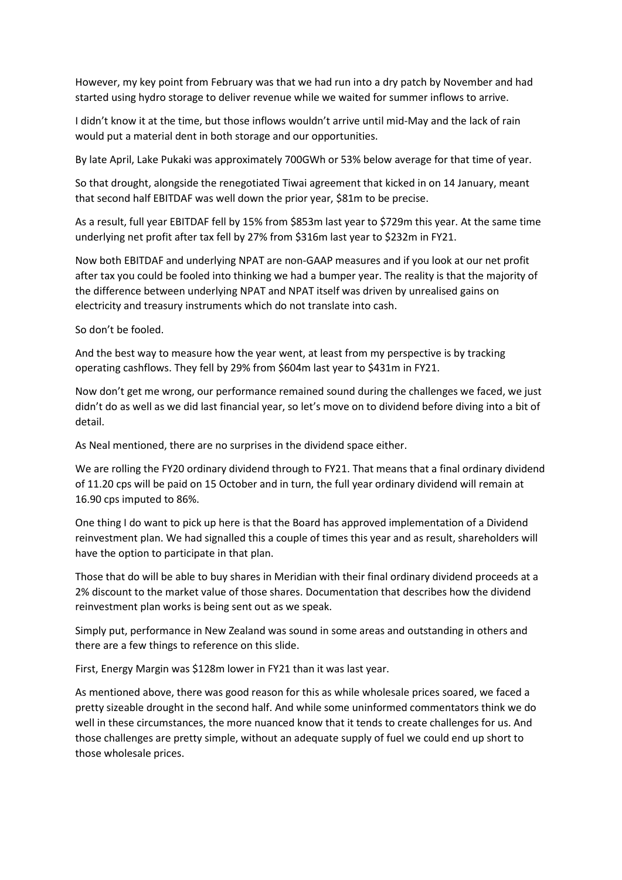However, my key point from February was that we had run into a dry patch by November and had started using hydro storage to deliver revenue while we waited for summer inflows to arrive.

I didn't know it at the time, but those inflows wouldn't arrive until mid-May and the lack of rain would put a material dent in both storage and our opportunities.

By late April, Lake Pukaki was approximately 700GWh or 53% below average for that time of year.

So that drought, alongside the renegotiated Tiwai agreement that kicked in on 14 January, meant that second half EBITDAF was well down the prior year, \$81m to be precise.

As a result, full year EBITDAF fell by 15% from \$853m last year to \$729m this year. At the same time underlying net profit after tax fell by 27% from \$316m last year to \$232m in FY21.

Now both EBITDAF and underlying NPAT are non-GAAP measures and if you look at our net profit after tax you could be fooled into thinking we had a bumper year. The reality is that the majority of the difference between underlying NPAT and NPAT itself was driven by unrealised gains on electricity and treasury instruments which do not translate into cash.

So don't be fooled.

And the best way to measure how the year went, at least from my perspective is by tracking operating cashflows. They fell by 29% from \$604m last year to \$431m in FY21.

Now don't get me wrong, our performance remained sound during the challenges we faced, we just didn't do as well as we did last financial year, so let's move on to dividend before diving into a bit of detail.

As Neal mentioned, there are no surprises in the dividend space either.

We are rolling the FY20 ordinary dividend through to FY21. That means that a final ordinary dividend of 11.20 cps will be paid on 15 October and in turn, the full year ordinary dividend will remain at 16.90 cps imputed to 86%.

One thing I do want to pick up here is that the Board has approved implementation of a Dividend reinvestment plan. We had signalled this a couple of times this year and as result, shareholders will have the option to participate in that plan.

Those that do will be able to buy shares in Meridian with their final ordinary dividend proceeds at a 2% discount to the market value of those shares. Documentation that describes how the dividend reinvestment plan works is being sent out as we speak.

Simply put, performance in New Zealand was sound in some areas and outstanding in others and there are a few things to reference on this slide.

First, Energy Margin was \$128m lower in FY21 than it was last year.

As mentioned above, there was good reason for this as while wholesale prices soared, we faced a pretty sizeable drought in the second half. And while some uninformed commentators think we do well in these circumstances, the more nuanced know that it tends to create challenges for us. And those challenges are pretty simple, without an adequate supply of fuel we could end up short to those wholesale prices.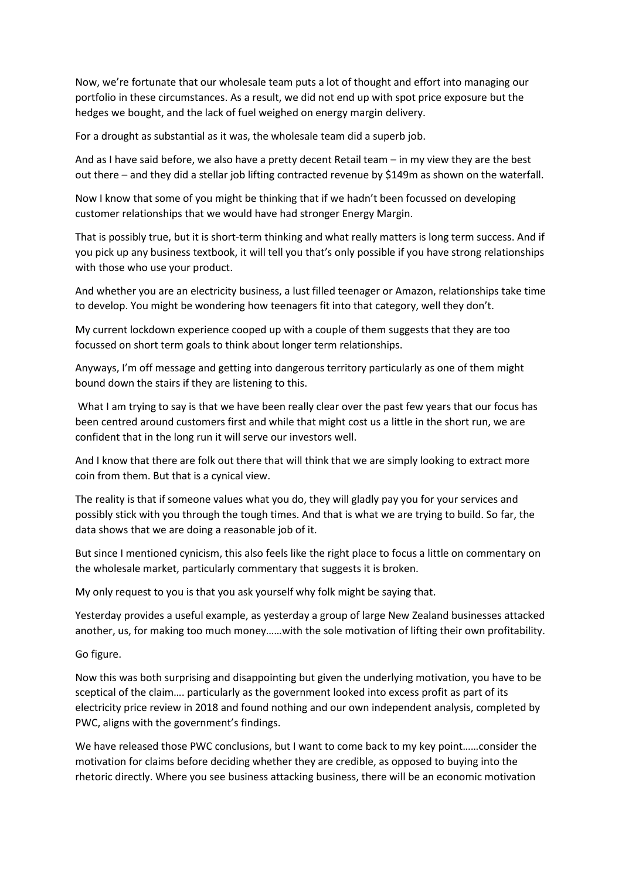Now, we're fortunate that our wholesale team puts a lot of thought and effort into managing our portfolio in these circumstances. As a result, we did not end up with spot price exposure but the hedges we bought, and the lack of fuel weighed on energy margin delivery.

For a drought as substantial as it was, the wholesale team did a superb job.

And as I have said before, we also have a pretty decent Retail team – in my view they are the best out there – and they did a stellar job lifting contracted revenue by \$149m as shown on the waterfall.

Now I know that some of you might be thinking that if we hadn't been focussed on developing customer relationships that we would have had stronger Energy Margin.

That is possibly true, but it is short-term thinking and what really matters is long term success. And if you pick up any business textbook, it will tell you that's only possible if you have strong relationships with those who use your product.

And whether you are an electricity business, a lust filled teenager or Amazon, relationships take time to develop. You might be wondering how teenagers fit into that category, well they don't.

My current lockdown experience cooped up with a couple of them suggests that they are too focussed on short term goals to think about longer term relationships.

Anyways, I'm off message and getting into dangerous territory particularly as one of them might bound down the stairs if they are listening to this.

What I am trying to say is that we have been really clear over the past few years that our focus has been centred around customers first and while that might cost us a little in the short run, we are confident that in the long run it will serve our investors well.

And I know that there are folk out there that will think that we are simply looking to extract more coin from them. But that is a cynical view.

The reality is that if someone values what you do, they will gladly pay you for your services and possibly stick with you through the tough times. And that is what we are trying to build. So far, the data shows that we are doing a reasonable job of it.

But since I mentioned cynicism, this also feels like the right place to focus a little on commentary on the wholesale market, particularly commentary that suggests it is broken.

My only request to you is that you ask yourself why folk might be saying that.

Yesterday provides a useful example, as yesterday a group of large New Zealand businesses attacked another, us, for making too much money……with the sole motivation of lifting their own profitability.

Go figure.

Now this was both surprising and disappointing but given the underlying motivation, you have to be sceptical of the claim…. particularly as the government looked into excess profit as part of its electricity price review in 2018 and found nothing and our own independent analysis, completed by PWC, aligns with the government's findings.

We have released those PWC conclusions, but I want to come back to my key point......consider the motivation for claims before deciding whether they are credible, as opposed to buying into the rhetoric directly. Where you see business attacking business, there will be an economic motivation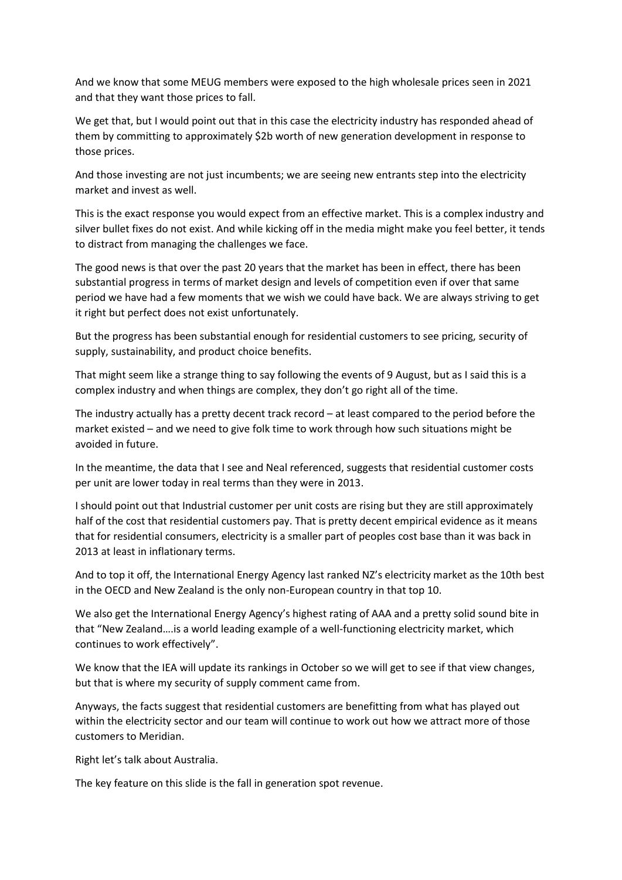And we know that some MEUG members were exposed to the high wholesale prices seen in 2021 and that they want those prices to fall.

We get that, but I would point out that in this case the electricity industry has responded ahead of them by committing to approximately \$2b worth of new generation development in response to those prices.

And those investing are not just incumbents; we are seeing new entrants step into the electricity market and invest as well.

This is the exact response you would expect from an effective market. This is a complex industry and silver bullet fixes do not exist. And while kicking off in the media might make you feel better, it tends to distract from managing the challenges we face.

The good news is that over the past 20 years that the market has been in effect, there has been substantial progress in terms of market design and levels of competition even if over that same period we have had a few moments that we wish we could have back. We are always striving to get it right but perfect does not exist unfortunately.

But the progress has been substantial enough for residential customers to see pricing, security of supply, sustainability, and product choice benefits.

That might seem like a strange thing to say following the events of 9 August, but as I said this is a complex industry and when things are complex, they don't go right all of the time.

The industry actually has a pretty decent track record – at least compared to the period before the market existed – and we need to give folk time to work through how such situations might be avoided in future.

In the meantime, the data that I see and Neal referenced, suggests that residential customer costs per unit are lower today in real terms than they were in 2013.

I should point out that Industrial customer per unit costs are rising but they are still approximately half of the cost that residential customers pay. That is pretty decent empirical evidence as it means that for residential consumers, electricity is a smaller part of peoples cost base than it was back in 2013 at least in inflationary terms.

And to top it off, the International Energy Agency last ranked NZ's electricity market as the 10th best in the OECD and New Zealand is the only non-European country in that top 10.

We also get the International Energy Agency's highest rating of AAA and a pretty solid sound bite in that "New Zealand….is a world leading example of a well-functioning electricity market, which continues to work effectively".

We know that the IEA will update its rankings in October so we will get to see if that view changes, but that is where my security of supply comment came from.

Anyways, the facts suggest that residential customers are benefitting from what has played out within the electricity sector and our team will continue to work out how we attract more of those customers to Meridian.

Right let's talk about Australia.

The key feature on this slide is the fall in generation spot revenue.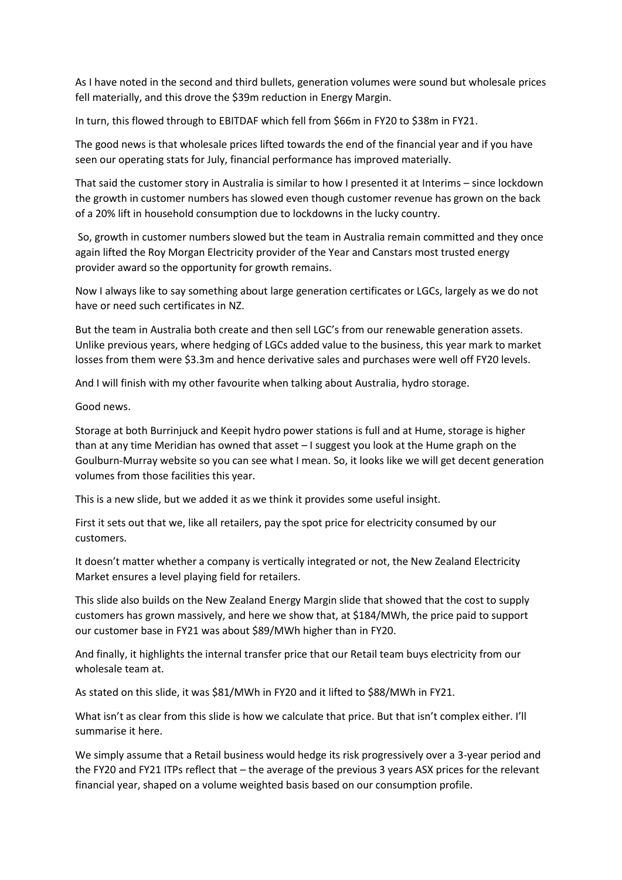As I have noted in the second and third bullets, generation volumes were sound but wholesale prices fell materially, and this drove the \$39m reduction in Energy Margin.

In turn, this flowed through to EBITDAF which fell from \$66m in FY20 to \$38m in FY21.

The good news is that wholesale prices lifted towards the end of the financial year and if you have seen our operating stats for July, financial performance has improved materially.

That said the customer story in Australia is similar to how I presented it at Interims – since lockdown the growth in customer numbers has slowed even though customer revenue has grown on the back of a 20% lift in household consumption due to lockdowns in the lucky country.

So, growth in customer numbers slowed but the team in Australia remain committed and they once again lifted the Roy Morgan Electricity provider of the Year and Canstars most trusted energy provider award so the opportunity for growth remains.

Now I always like to say something about large generation certificates or LGCs, largely as we do not have or need such certificates in NZ.

But the team in Australia both create and then sell LGC's from our renewable generation assets. Unlike previous years, where hedging of LGCs added value to the business, this year mark to market losses from them were \$3.3m and hence derivative sales and purchases were well off FY20 levels.

And I will finish with my other favourite when talking about Australia, hydro storage.

Good news.

Storage at both Burrinjuck and Keepit hydro power stations is full and at Hume, storage is higher than at any time Meridian has owned that asset – I suggest you look at the Hume graph on the Goulburn-Murray website so you can see what I mean. So, it looks like we will get decent generation volumes from those facilities this year.

This is a new slide, but we added it as we think it provides some useful insight.

First it sets out that we, like all retailers, pay the spot price for electricity consumed by our customers.

It doesn't matter whether a company is vertically integrated or not, the New Zealand Electricity Market ensures a level playing field for retailers.

This slide also builds on the New Zealand Energy Margin slide that showed that the cost to supply customers has grown massively, and here we show that, at \$184/MWh, the price paid to support our customer base in FY21 was about \$89/MWh higher than in FY20.

And finally, it highlights the internal transfer price that our Retail team buys electricity from our wholesale team at.

As stated on this slide, it was \$81/MWh in FY20 and it lifted to \$88/MWh in FY21.

What isn't as clear from this slide is how we calculate that price. But that isn't complex either. I'll summarise it here.

We simply assume that a Retail business would hedge its risk progressively over a 3-year period and the FY20 and FY21 ITPs reflect that – the average of the previous 3 years ASX prices for the relevant financial year, shaped on a volume weighted basis based on our consumption profile.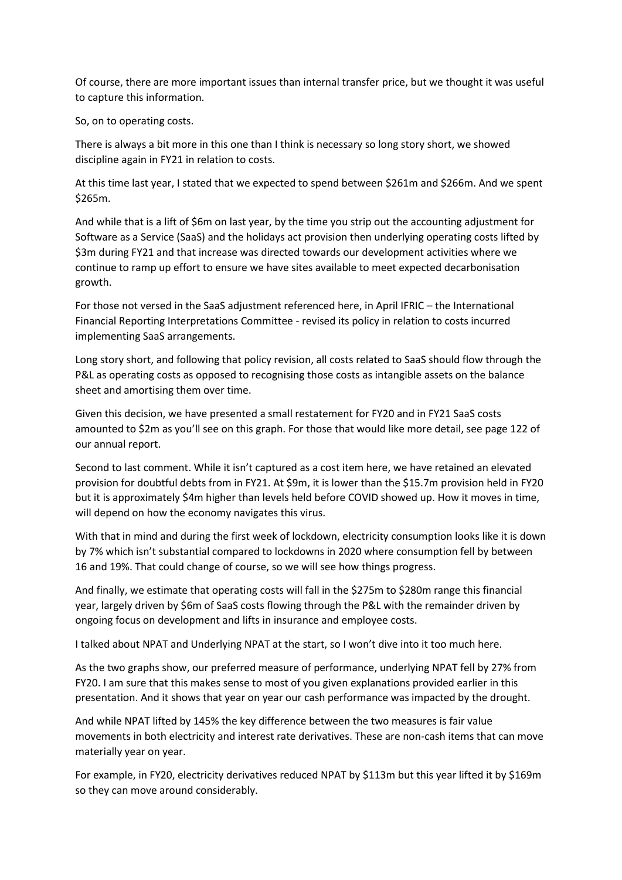Of course, there are more important issues than internal transfer price, but we thought it was useful to capture this information.

So, on to operating costs.

There is always a bit more in this one than I think is necessary so long story short, we showed discipline again in FY21 in relation to costs.

At this time last year, I stated that we expected to spend between \$261m and \$266m. And we spent \$265m.

And while that is a lift of \$6m on last year, by the time you strip out the accounting adjustment for Software as a Service (SaaS) and the holidays act provision then underlying operating costs lifted by \$3m during FY21 and that increase was directed towards our development activities where we continue to ramp up effort to ensure we have sites available to meet expected decarbonisation growth.

For those not versed in the SaaS adjustment referenced here, in April IFRIC – the International Financial Reporting Interpretations Committee - revised its policy in relation to costs incurred implementing SaaS arrangements.

Long story short, and following that policy revision, all costs related to SaaS should flow through the P&L as operating costs as opposed to recognising those costs as intangible assets on the balance sheet and amortising them over time.

Given this decision, we have presented a small restatement for FY20 and in FY21 SaaS costs amounted to \$2m as you'll see on this graph. For those that would like more detail, see page 122 of our annual report.

Second to last comment. While it isn't captured as a cost item here, we have retained an elevated provision for doubtful debts from in FY21. At \$9m, it is lower than the \$15.7m provision held in FY20 but it is approximately \$4m higher than levels held before COVID showed up. How it moves in time, will depend on how the economy navigates this virus.

With that in mind and during the first week of lockdown, electricity consumption looks like it is down by 7% which isn't substantial compared to lockdowns in 2020 where consumption fell by between 16 and 19%. That could change of course, so we will see how things progress.

And finally, we estimate that operating costs will fall in the \$275m to \$280m range this financial year, largely driven by \$6m of SaaS costs flowing through the P&L with the remainder driven by ongoing focus on development and lifts in insurance and employee costs.

I talked about NPAT and Underlying NPAT at the start, so I won't dive into it too much here.

As the two graphs show, our preferred measure of performance, underlying NPAT fell by 27% from FY20. I am sure that this makes sense to most of you given explanations provided earlier in this presentation. And it shows that year on year our cash performance was impacted by the drought.

And while NPAT lifted by 145% the key difference between the two measures is fair value movements in both electricity and interest rate derivatives. These are non-cash items that can move materially year on year.

For example, in FY20, electricity derivatives reduced NPAT by \$113m but this year lifted it by \$169m so they can move around considerably.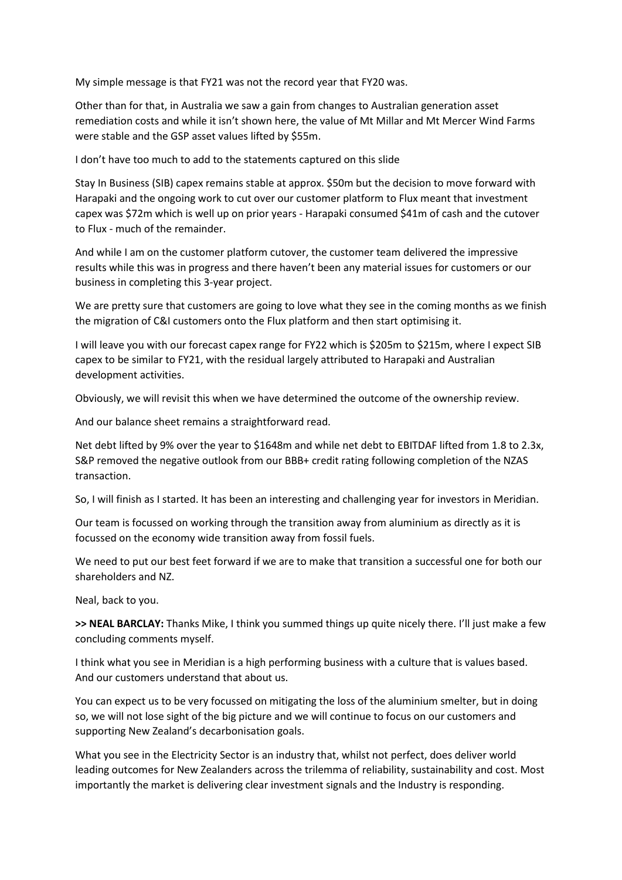My simple message is that FY21 was not the record year that FY20 was.

Other than for that, in Australia we saw a gain from changes to Australian generation asset remediation costs and while it isn't shown here, the value of Mt Millar and Mt Mercer Wind Farms were stable and the GSP asset values lifted by \$55m.

I don't have too much to add to the statements captured on this slide

Stay In Business (SIB) capex remains stable at approx. \$50m but the decision to move forward with Harapaki and the ongoing work to cut over our customer platform to Flux meant that investment capex was \$72m which is well up on prior years - Harapaki consumed \$41m of cash and the cutover to Flux - much of the remainder.

And while I am on the customer platform cutover, the customer team delivered the impressive results while this was in progress and there haven't been any material issues for customers or our business in completing this 3-year project.

We are pretty sure that customers are going to love what they see in the coming months as we finish the migration of C&I customers onto the Flux platform and then start optimising it.

I will leave you with our forecast capex range for FY22 which is \$205m to \$215m, where I expect SIB capex to be similar to FY21, with the residual largely attributed to Harapaki and Australian development activities.

Obviously, we will revisit this when we have determined the outcome of the ownership review.

And our balance sheet remains a straightforward read.

Net debt lifted by 9% over the year to \$1648m and while net debt to EBITDAF lifted from 1.8 to 2.3x, S&P removed the negative outlook from our BBB+ credit rating following completion of the NZAS transaction.

So, I will finish as I started. It has been an interesting and challenging year for investors in Meridian.

Our team is focussed on working through the transition away from aluminium as directly as it is focussed on the economy wide transition away from fossil fuels.

We need to put our best feet forward if we are to make that transition a successful one for both our shareholders and NZ.

Neal, back to you.

**>> NEAL BARCLAY:** Thanks Mike, I think you summed things up quite nicely there. I'll just make a few concluding comments myself.

I think what you see in Meridian is a high performing business with a culture that is values based. And our customers understand that about us.

You can expect us to be very focussed on mitigating the loss of the aluminium smelter, but in doing so, we will not lose sight of the big picture and we will continue to focus on our customers and supporting New Zealand's decarbonisation goals.

What you see in the Electricity Sector is an industry that, whilst not perfect, does deliver world leading outcomes for New Zealanders across the trilemma of reliability, sustainability and cost. Most importantly the market is delivering clear investment signals and the Industry is responding.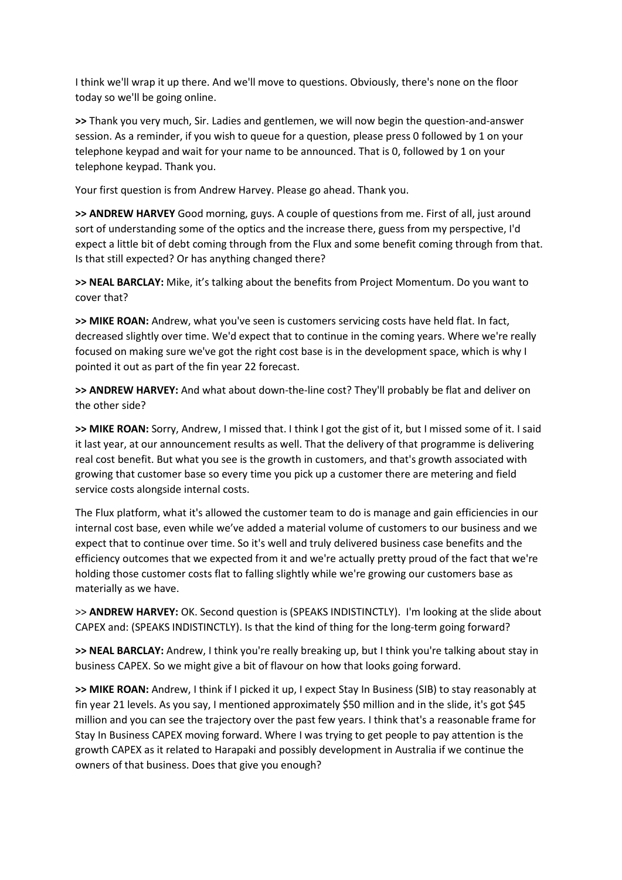I think we'll wrap it up there. And we'll move to questions. Obviously, there's none on the floor today so we'll be going online.

**>>** Thank you very much, Sir. Ladies and gentlemen, we will now begin the question-and-answer session. As a reminder, if you wish to queue for a question, please press 0 followed by 1 on your telephone keypad and wait for your name to be announced. That is 0, followed by 1 on your telephone keypad. Thank you.

Your first question is from Andrew Harvey. Please go ahead. Thank you.

**>> ANDREW HARVEY** Good morning, guys. A couple of questions from me. First of all, just around sort of understanding some of the optics and the increase there, guess from my perspective, I'd expect a little bit of debt coming through from the Flux and some benefit coming through from that. Is that still expected? Or has anything changed there?

**>> NEAL BARCLAY:** Mike, it's talking about the benefits from Project Momentum. Do you want to cover that?

**>> MIKE ROAN:** Andrew, what you've seen is customers servicing costs have held flat. In fact, decreased slightly over time. We'd expect that to continue in the coming years. Where we're really focused on making sure we've got the right cost base is in the development space, which is why I pointed it out as part of the fin year 22 forecast.

**>> ANDREW HARVEY:** And what about down-the-line cost? They'll probably be flat and deliver on the other side?

**>> MIKE ROAN:** Sorry, Andrew, I missed that. I think I got the gist of it, but I missed some of it. I said it last year, at our announcement results as well. That the delivery of that programme is delivering real cost benefit. But what you see is the growth in customers, and that's growth associated with growing that customer base so every time you pick up a customer there are metering and field service costs alongside internal costs.

The Flux platform, what it's allowed the customer team to do is manage and gain efficiencies in our internal cost base, even while we've added a material volume of customers to our business and we expect that to continue over time. So it's well and truly delivered business case benefits and the efficiency outcomes that we expected from it and we're actually pretty proud of the fact that we're holding those customer costs flat to falling slightly while we're growing our customers base as materially as we have.

>> **ANDREW HARVEY:** OK. Second question is (SPEAKS INDISTINCTLY). I'm looking at the slide about CAPEX and: (SPEAKS INDISTINCTLY). Is that the kind of thing for the long-term going forward?

**>> NEAL BARCLAY:** Andrew, I think you're really breaking up, but I think you're talking about stay in business CAPEX. So we might give a bit of flavour on how that looks going forward.

**>> MIKE ROAN:** Andrew, I think if I picked it up, I expect Stay In Business (SIB) to stay reasonably at fin year 21 levels. As you say, I mentioned approximately \$50 million and in the slide, it's got \$45 million and you can see the trajectory over the past few years. I think that's a reasonable frame for Stay In Business CAPEX moving forward. Where I was trying to get people to pay attention is the growth CAPEX as it related to Harapaki and possibly development in Australia if we continue the owners of that business. Does that give you enough?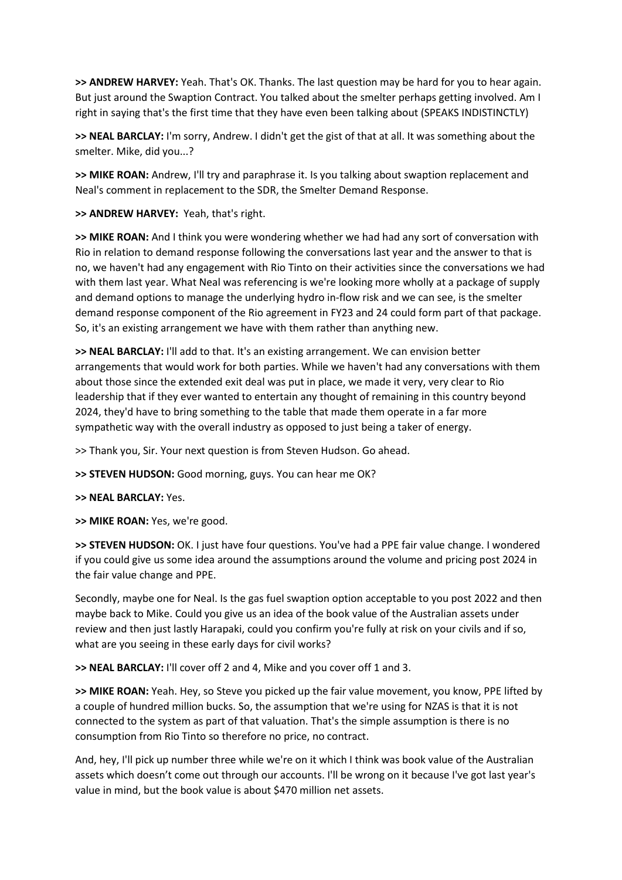**>> ANDREW HARVEY:** Yeah. That's OK. Thanks. The last question may be hard for you to hear again. But just around the Swaption Contract. You talked about the smelter perhaps getting involved. Am I right in saying that's the first time that they have even been talking about (SPEAKS INDISTINCTLY)

**>> NEAL BARCLAY:** I'm sorry, Andrew. I didn't get the gist of that at all. It was something about the smelter. Mike, did you...?

**>> MIKE ROAN:** Andrew, I'll try and paraphrase it. Is you talking about swaption replacement and Neal's comment in replacement to the SDR, the Smelter Demand Response.

**>> ANDREW HARVEY:** Yeah, that's right.

**>> MIKE ROAN:** And I think you were wondering whether we had had any sort of conversation with Rio in relation to demand response following the conversations last year and the answer to that is no, we haven't had any engagement with Rio Tinto on their activities since the conversations we had with them last year. What Neal was referencing is we're looking more wholly at a package of supply and demand options to manage the underlying hydro in-flow risk and we can see, is the smelter demand response component of the Rio agreement in FY23 and 24 could form part of that package. So, it's an existing arrangement we have with them rather than anything new.

**>> NEAL BARCLAY:** I'll add to that. It's an existing arrangement. We can envision better arrangements that would work for both parties. While we haven't had any conversations with them about those since the extended exit deal was put in place, we made it very, very clear to Rio leadership that if they ever wanted to entertain any thought of remaining in this country beyond 2024, they'd have to bring something to the table that made them operate in a far more sympathetic way with the overall industry as opposed to just being a taker of energy.

>> Thank you, Sir. Your next question is from Steven Hudson. Go ahead.

**>> STEVEN HUDSON:** Good morning, guys. You can hear me OK?

**>> NEAL BARCLAY:** Yes.

**>> MIKE ROAN:** Yes, we're good.

**>> STEVEN HUDSON:** OK. I just have four questions. You've had a PPE fair value change. I wondered if you could give us some idea around the assumptions around the volume and pricing post 2024 in the fair value change and PPE.

Secondly, maybe one for Neal. Is the gas fuel swaption option acceptable to you post 2022 and then maybe back to Mike. Could you give us an idea of the book value of the Australian assets under review and then just lastly Harapaki, could you confirm you're fully at risk on your civils and if so, what are you seeing in these early days for civil works?

**>> NEAL BARCLAY:** I'll cover off 2 and 4, Mike and you cover off 1 and 3.

**>> MIKE ROAN:** Yeah. Hey, so Steve you picked up the fair value movement, you know, PPE lifted by a couple of hundred million bucks. So, the assumption that we're using for NZAS is that it is not connected to the system as part of that valuation. That's the simple assumption is there is no consumption from Rio Tinto so therefore no price, no contract.

And, hey, I'll pick up number three while we're on it which I think was book value of the Australian assets which doesn't come out through our accounts. I'll be wrong on it because I've got last year's value in mind, but the book value is about \$470 million net assets.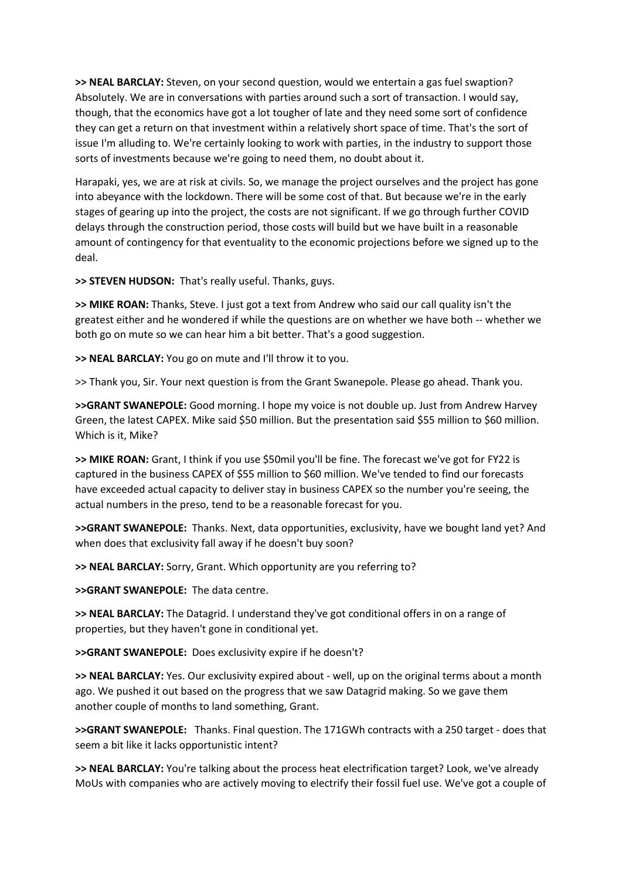**>> NEAL BARCLAY:** Steven, on your second question, would we entertain a gas fuel swaption? Absolutely. We are in conversations with parties around such a sort of transaction. I would say, though, that the economics have got a lot tougher of late and they need some sort of confidence they can get a return on that investment within a relatively short space of time. That's the sort of issue I'm alluding to. We're certainly looking to work with parties, in the industry to support those sorts of investments because we're going to need them, no doubt about it.

Harapaki, yes, we are at risk at civils. So, we manage the project ourselves and the project has gone into abeyance with the lockdown. There will be some cost of that. But because we're in the early stages of gearing up into the project, the costs are not significant. If we go through further COVID delays through the construction period, those costs will build but we have built in a reasonable amount of contingency for that eventuality to the economic projections before we signed up to the deal.

**>> STEVEN HUDSON:** That's really useful. Thanks, guys.

**>> MIKE ROAN:** Thanks, Steve. I just got a text from Andrew who said our call quality isn't the greatest either and he wondered if while the questions are on whether we have both -- whether we both go on mute so we can hear him a bit better. That's a good suggestion.

**>> NEAL BARCLAY:** You go on mute and I'll throw it to you.

>> Thank you, Sir. Your next question is from the Grant Swanepole. Please go ahead. Thank you.

**>>GRANT SWANEPOLE:** Good morning. I hope my voice is not double up. Just from Andrew Harvey Green, the latest CAPEX. Mike said \$50 million. But the presentation said \$55 million to \$60 million. Which is it, Mike?

**>> MIKE ROAN:** Grant, I think if you use \$50mil you'll be fine. The forecast we've got for FY22 is captured in the business CAPEX of \$55 million to \$60 million. We've tended to find our forecasts have exceeded actual capacity to deliver stay in business CAPEX so the number you're seeing, the actual numbers in the preso, tend to be a reasonable forecast for you.

**>>GRANT SWANEPOLE:** Thanks. Next, data opportunities, exclusivity, have we bought land yet? And when does that exclusivity fall away if he doesn't buy soon?

**>> NEAL BARCLAY:** Sorry, Grant. Which opportunity are you referring to?

**>>GRANT SWANEPOLE:** The data centre.

**>> NEAL BARCLAY:** The Datagrid. I understand they've got conditional offers in on a range of properties, but they haven't gone in conditional yet.

**>>GRANT SWANEPOLE:** Does exclusivity expire if he doesn't?

**>> NEAL BARCLAY:** Yes. Our exclusivity expired about - well, up on the original terms about a month ago. We pushed it out based on the progress that we saw Datagrid making. So we gave them another couple of months to land something, Grant.

**>>GRANT SWANEPOLE:** Thanks. Final question. The 171GWh contracts with a 250 target - does that seem a bit like it lacks opportunistic intent?

**>> NEAL BARCLAY:** You're talking about the process heat electrification target? Look, we've already MoUs with companies who are actively moving to electrify their fossil fuel use. We've got a couple of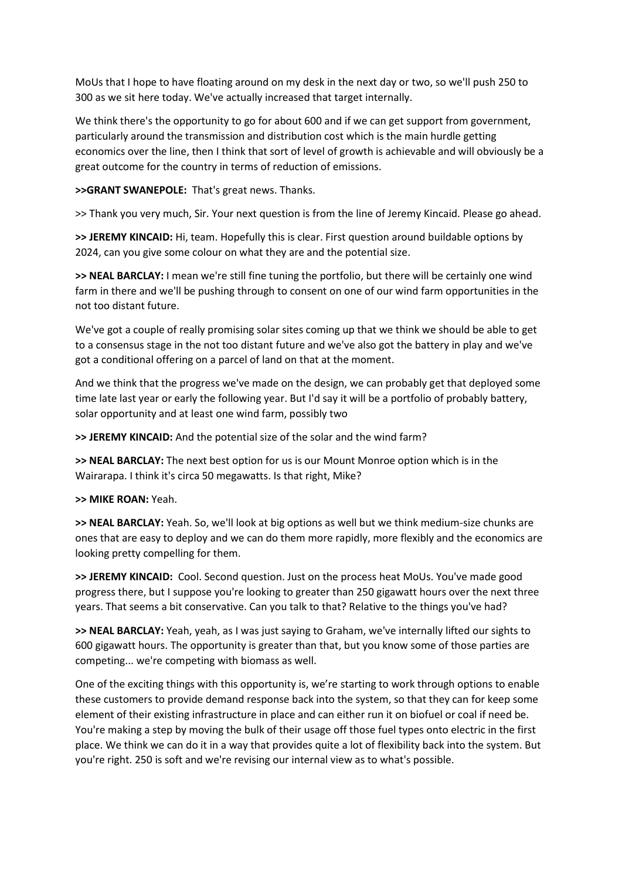MoUs that I hope to have floating around on my desk in the next day or two, so we'll push 250 to 300 as we sit here today. We've actually increased that target internally.

We think there's the opportunity to go for about 600 and if we can get support from government, particularly around the transmission and distribution cost which is the main hurdle getting economics over the line, then I think that sort of level of growth is achievable and will obviously be a great outcome for the country in terms of reduction of emissions.

## **>>GRANT SWANEPOLE:** That's great news. Thanks.

>> Thank you very much, Sir. Your next question is from the line of Jeremy Kincaid. Please go ahead.

**>> JEREMY KINCAID:** Hi, team. Hopefully this is clear. First question around buildable options by 2024, can you give some colour on what they are and the potential size.

**>> NEAL BARCLAY:** I mean we're still fine tuning the portfolio, but there will be certainly one wind farm in there and we'll be pushing through to consent on one of our wind farm opportunities in the not too distant future.

We've got a couple of really promising solar sites coming up that we think we should be able to get to a consensus stage in the not too distant future and we've also got the battery in play and we've got a conditional offering on a parcel of land on that at the moment.

And we think that the progress we've made on the design, we can probably get that deployed some time late last year or early the following year. But I'd say it will be a portfolio of probably battery, solar opportunity and at least one wind farm, possibly two

**>> JEREMY KINCAID:** And the potential size of the solar and the wind farm?

**>> NEAL BARCLAY:** The next best option for us is our Mount Monroe option which is in the Wairarapa. I think it's circa 50 megawatts. Is that right, Mike?

## **>> MIKE ROAN:** Yeah.

**>> NEAL BARCLAY:** Yeah. So, we'll look at big options as well but we think medium-size chunks are ones that are easy to deploy and we can do them more rapidly, more flexibly and the economics are looking pretty compelling for them.

**>> JEREMY KINCAID:** Cool. Second question. Just on the process heat MoUs. You've made good progress there, but I suppose you're looking to greater than 250 gigawatt hours over the next three years. That seems a bit conservative. Can you talk to that? Relative to the things you've had?

**>> NEAL BARCLAY:** Yeah, yeah, as I was just saying to Graham, we've internally lifted our sights to 600 gigawatt hours. The opportunity is greater than that, but you know some of those parties are competing... we're competing with biomass as well.

One of the exciting things with this opportunity is, we're starting to work through options to enable these customers to provide demand response back into the system, so that they can for keep some element of their existing infrastructure in place and can either run it on biofuel or coal if need be. You're making a step by moving the bulk of their usage off those fuel types onto electric in the first place. We think we can do it in a way that provides quite a lot of flexibility back into the system. But you're right. 250 is soft and we're revising our internal view as to what's possible.